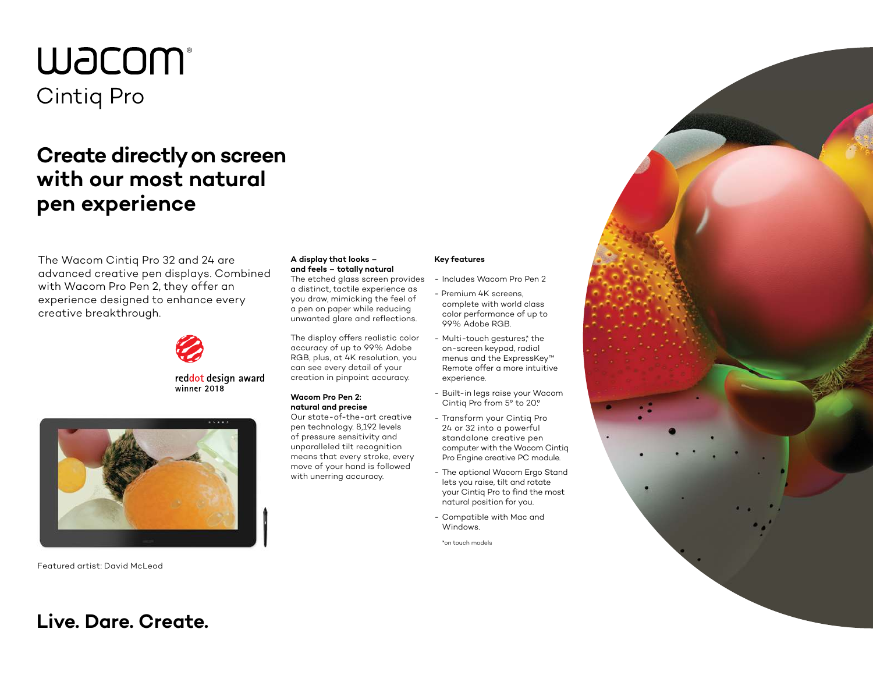# **WJCOM** Cintig Pro

## **Create directly on screen with our most natural pen experience**

The Wacom Cintiq Pro 32 and 24 are advanced creative pen displays. Combined with Wacom Pro Pen 2, they offer an experience designed to enhance every creative breakthrough.



reddot design award winner 2018



Featured artist: David McLeod

**Live. Dare. Create.**

#### **A display that looks – and feels – totally natural**

The etched glass screen provides a distinct, tactile experience as you draw, mimicking the feel of a pen on paper while reducing unwanted glare and reflections.

The display offers realistic color accuracy of up to 99% Adobe RGB, plus, at 4K resolution, you can see every detail of your creation in pinpoint accuracy.

#### **Wacom Pro Pen 2: natural and precise**

Our state-of-the-art creative pen technology. 8,192 levels of pressure sensitivity and unparalleled tilt recognition means that every stroke, every move of your hand is followed with unerring accuracy.

### **Key features**

- Includes Wacom Pro Pen 2 - Premium 4K screens,
- complete with world class color performance of up to 99% Adobe RGB.
- Multi-touch gestures,\* the on-screen keypad, radial menus and the ExpressKey™ Remote offer a more intuitive experience.
- Built-in legs raise your Wacom Cintiq Pro from 5° to 20°.
- Transform your Cintiq Pro 24 or 32 into a powerful standalone creative pen computer with the Wacom Cintiq Pro Engine creative PC module.
- The optional Wacom Ergo Stand lets you raise, tilt and rotate your Cintiq Pro to find the most natural position for you.
- Compatible with Mac and Windows.

\*on touch models